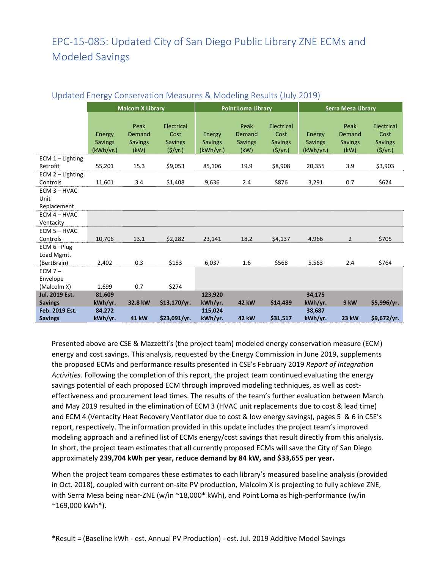## EPC‐15‐085: Updated City of San Diego Public Library ZNE ECMs and Modeled Savings

|                                         | <b>Malcom X Library</b>               |                                          |                                                 | <b>Point Loma Library</b>             |                                          |                                                     | <b>Serra Mesa Library</b>             |                                          |                                                     |  |
|-----------------------------------------|---------------------------------------|------------------------------------------|-------------------------------------------------|---------------------------------------|------------------------------------------|-----------------------------------------------------|---------------------------------------|------------------------------------------|-----------------------------------------------------|--|
|                                         | Energy<br><b>Savings</b><br>(kWh/yr.) | Peak<br>Demand<br><b>Savings</b><br>(kW) | Electrical<br>Cost<br><b>Savings</b><br>(5/yr.) | Energy<br><b>Savings</b><br>(kWh/yr.) | Peak<br>Demand<br><b>Savings</b><br>(kW) | Electrical<br>Cost<br><b>Savings</b><br>$($ \$/yr.) | Energy<br><b>Savings</b><br>(kWh/yr.) | Peak<br>Demand<br><b>Savings</b><br>(kW) | Electrical<br>Cost<br><b>Savings</b><br>$($ \$/yr.) |  |
| ECM $1$ – Lighting                      |                                       |                                          |                                                 |                                       |                                          |                                                     |                                       |                                          |                                                     |  |
| Retrofit                                | 55,201                                | 15.3                                     | \$9,053                                         | 85,106                                | 19.9                                     | \$8,908                                             | 20,355                                | 3.9                                      | \$3,903                                             |  |
| ECM 2 - Lighting<br>Controls            | 11,601                                | 3.4                                      | \$1,408                                         | 9,636                                 | 2.4                                      | \$876                                               | 3,291                                 | 0.7                                      | \$624                                               |  |
| $ECM$ 3 – HVAC<br>Unit<br>Replacement   |                                       |                                          |                                                 |                                       |                                          |                                                     |                                       |                                          |                                                     |  |
| $ECM$ 4 – HVAC                          |                                       |                                          |                                                 |                                       |                                          |                                                     |                                       |                                          |                                                     |  |
| Ventacity                               |                                       |                                          |                                                 |                                       |                                          |                                                     |                                       |                                          |                                                     |  |
| $ECM$ 5 – HVAC<br>Controls              | 10,706                                | 13.1                                     | \$2,282                                         | 23,141                                | 18.2                                     | \$4,137                                             | 4,966                                 | $\overline{2}$                           | \$705                                               |  |
| ECM 6-Plug<br>Load Mgmt.<br>(BertBrain) | 2,402                                 | 0.3                                      | \$153                                           | 6,037                                 | 1.6                                      | \$568                                               | 5,563                                 | 2.4                                      | \$764                                               |  |
| $ECM 7 -$<br>Envelope<br>(Malcolm X)    | 1,699                                 | 0.7                                      | \$274                                           |                                       |                                          |                                                     |                                       |                                          |                                                     |  |
| <b>Jul. 2019 Est.</b>                   | 81,609                                |                                          |                                                 | 123,920                               |                                          |                                                     | 34,175                                |                                          |                                                     |  |
| <b>Savings</b>                          | kWh/yr.                               | 32.8 kW                                  | \$13,170/yr.                                    | kWh/yr.                               | <b>42 kW</b>                             | \$14,489                                            | kWh/yr.                               | 9 kW                                     | \$5,996/yr.                                         |  |
| Feb. 2019 Est.                          | 84,272                                |                                          |                                                 | 115,024                               |                                          |                                                     | 38,687                                |                                          |                                                     |  |
| <b>Savings</b>                          | kWh/yr.                               | <b>41 kW</b>                             | \$23,091/yr.                                    | kWh/yr.                               | <b>42 kW</b>                             | \$31,517                                            | kWh/yr.                               | <b>23 kW</b>                             | \$9,672/yr.                                         |  |

## Updated Energy Conservation Measures & Modeling Results (July 2019)

Presented above are CSE & Mazzetti's (the project team) modeled energy conservation measure (ECM) energy and cost savings. This analysis, requested by the Energy Commission in June 2019, supplements the proposed ECMs and performance results presented in CSE's February 2019 *Report of Integration Activities.* Following the completion of this report, the project team continued evaluating the energy savings potential of each proposed ECM through improved modeling techniques, as well as costeffectiveness and procurement lead times. The results of the team's further evaluation between March and May 2019 resulted in the elimination of ECM 3 (HVAC unit replacements due to cost & lead time) and ECM 4 (Ventacity Heat Recovery Ventilator due to cost & low energy savings), pages 5 & 6 in CSE's report, respectively. The information provided in this update includes the project team's improved modeling approach and a refined list of ECMs energy/cost savings that result directly from this analysis. In short, the project team estimates that all currently proposed ECMs will save the City of San Diego approximately **239,704 kWh per year, reduce demand by 84 kW, and \$33,655 per year.** 

When the project team compares these estimates to each library's measured baseline analysis (provided in Oct. 2018), coupled with current on‐site PV production, Malcolm X is projecting to fully achieve ZNE, with Serra Mesa being near-ZNE (w/in ∼18,000\* kWh), and Point Loma as high-performance (w/in  $^*169,000$  kWh $^*$ ).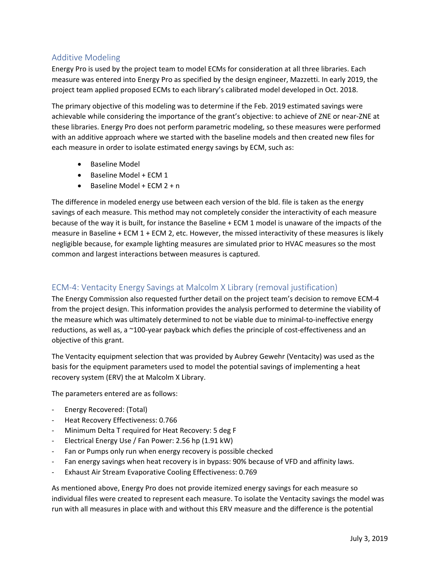## Additive Modeling

Energy Pro is used by the project team to model ECMs for consideration at all three libraries. Each measure was entered into Energy Pro as specified by the design engineer, Mazzetti. In early 2019, the project team applied proposed ECMs to each library's calibrated model developed in Oct. 2018.

The primary objective of this modeling was to determine if the Feb. 2019 estimated savings were achievable while considering the importance of the grant's objective: to achieve of ZNE or near‐ZNE at these libraries. Energy Pro does not perform parametric modeling, so these measures were performed with an additive approach where we started with the baseline models and then created new files for each measure in order to isolate estimated energy savings by ECM, such as:

- Baseline Model
- Baseline Model + ECM 1
- $\bullet$  Baseline Model + ECM 2 + n

The difference in modeled energy use between each version of the bld. file is taken as the energy savings of each measure. This method may not completely consider the interactivity of each measure because of the way it is built, for instance the Baseline + ECM 1 model is unaware of the impacts of the measure in Baseline + ECM 1 + ECM 2, etc. However, the missed interactivity of these measures is likely negligible because, for example lighting measures are simulated prior to HVAC measures so the most common and largest interactions between measures is captured.

## ECM‐4: Ventacity Energy Savings at Malcolm X Library (removal justification)

The Energy Commission also requested further detail on the project team's decision to remove ECM‐4 from the project design. This information provides the analysis performed to determine the viability of the measure which was ultimately determined to not be viable due to minimal-to-ineffective energy reductions, as well as, a ~100-year payback which defies the principle of cost-effectiveness and an objective of this grant.

The Ventacity equipment selection that was provided by Aubrey Gewehr (Ventacity) was used as the basis for the equipment parameters used to model the potential savings of implementing a heat recovery system (ERV) the at Malcolm X Library.

The parameters entered are as follows:

- ‐ Energy Recovered: (Total)
- ‐ Heat Recovery Effectiveness: 0.766
- ‐ Minimum Delta T required for Heat Recovery: 5 deg F
- ‐ Electrical Energy Use / Fan Power: 2.56 hp (1.91 kW)
- ‐ Fan or Pumps only run when energy recovery is possible checked
- Fan energy savings when heat recovery is in bypass: 90% because of VFD and affinity laws.
- ‐ Exhaust Air Stream Evaporative Cooling Effectiveness: 0.769

As mentioned above, Energy Pro does not provide itemized energy savings for each measure so individual files were created to represent each measure. To isolate the Ventacity savings the model was run with all measures in place with and without this ERV measure and the difference is the potential